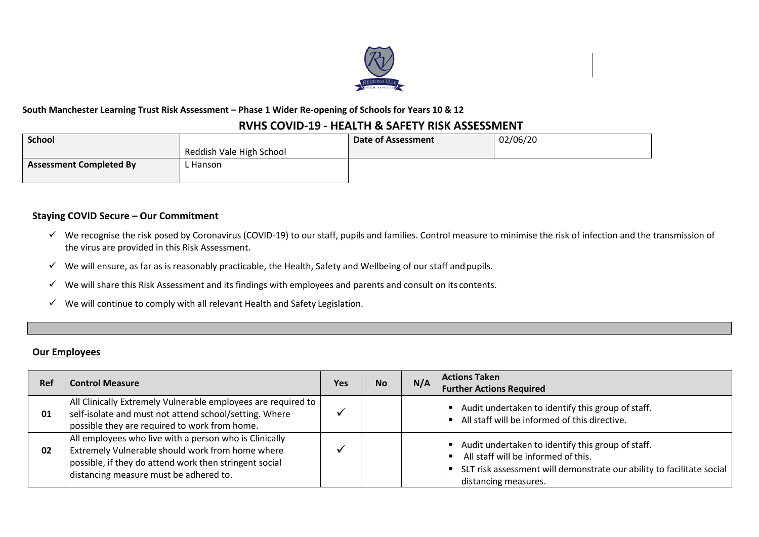

### **South Manchester Learning Trust Risk Assessment – Phase 1 Wider Re-opening of Schools for Years 10 & 12**

## **RVHS COVID-19 - HEALTH & SAFETY RISK ASSESSMENT**

| School                         |                          | <b>Date of Assessment</b> | 02/06/20 |
|--------------------------------|--------------------------|---------------------------|----------|
|                                | Reddish Vale High School |                           |          |
| <b>Assessment Completed By</b> | Hanson                   |                           |          |
|                                |                          |                           |          |

### **Staying COVID Secure – Our Commitment**

- $\checkmark$  We recognise the risk posed by Coronavirus (COVID-19) to our staff, pupils and families. Control measure to minimise the risk of infection and the transmission of the virus are provided in this Risk Assessment.
- $\checkmark$  We will ensure, as far as is reasonably practicable, the Health, Safety and Wellbeing of our staff and pupils.
- $\checkmark$  We will share this Risk Assessment and its findings with employees and parents and consult on its contents.
- $\checkmark$  We will continue to comply with all relevant Health and Safety Legislation.

#### **Our Employees**

| Ref | <b>Control Measure</b>                                                                                                                                                                                         | Yes | <b>No</b> | N/A | <b>Actions Taken</b><br><b>Further Actions Required</b>                                                                                                                                   |
|-----|----------------------------------------------------------------------------------------------------------------------------------------------------------------------------------------------------------------|-----|-----------|-----|-------------------------------------------------------------------------------------------------------------------------------------------------------------------------------------------|
| 01  | All Clinically Extremely Vulnerable employees are required to<br>self-isolate and must not attend school/setting. Where<br>possible they are required to work from home.                                       |     |           |     | Audit undertaken to identify this group of staff.<br>All staff will be informed of this directive.                                                                                        |
| 02  | All employees who live with a person who is Clinically<br>Extremely Vulnerable should work from home where<br>possible, if they do attend work then stringent social<br>distancing measure must be adhered to. |     |           |     | Audit undertaken to identify this group of staff.<br>All staff will be informed of this.<br>SLT risk assessment will demonstrate our ability to facilitate social<br>distancing measures. |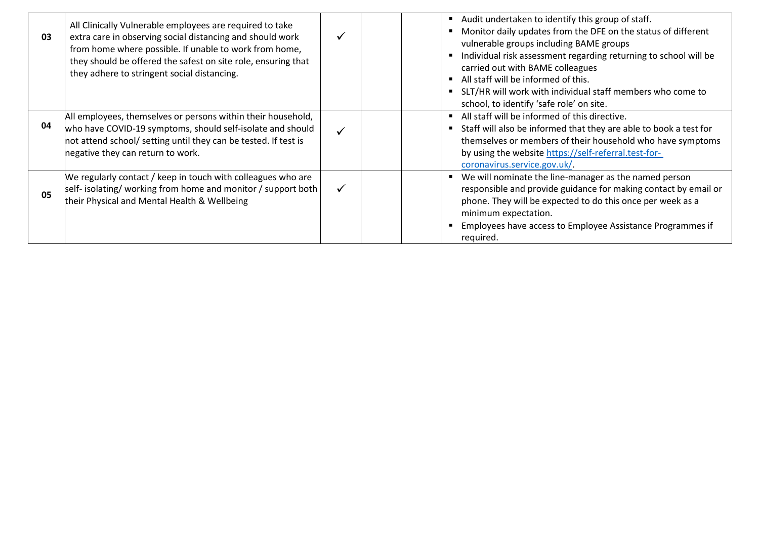| 03 | All Clinically Vulnerable employees are required to take<br>extra care in observing social distancing and should work<br>from home where possible. If unable to work from home,<br>they should be offered the safest on site role, ensuring that<br>they adhere to stringent social distancing. |   | Audit undertaken to identify this group of staff.<br>Monitor daily updates from the DFE on the status of different<br>vulnerable groups including BAME groups<br>Individual risk assessment regarding returning to school will be<br>carried out with BAME colleagues<br>All staff will be informed of this.<br>SLT/HR will work with individual staff members who come to<br>school, to identify 'safe role' on site. |
|----|-------------------------------------------------------------------------------------------------------------------------------------------------------------------------------------------------------------------------------------------------------------------------------------------------|---|------------------------------------------------------------------------------------------------------------------------------------------------------------------------------------------------------------------------------------------------------------------------------------------------------------------------------------------------------------------------------------------------------------------------|
| 04 | All employees, themselves or persons within their household,<br>who have COVID-19 symptoms, should self-isolate and should<br>not attend school/ setting until they can be tested. If test is<br>negative they can return to work.                                                              | ✓ | All staff will be informed of this directive.<br>Staff will also be informed that they are able to book a test for<br>themselves or members of their household who have symptoms<br>by using the website https://self-referral.test-for-<br>coronavirus.service.gov.uk/.                                                                                                                                               |
| 05 | We regularly contact / keep in touch with colleagues who are<br>self- isolating/ working from home and monitor / support both<br>their Physical and Mental Health & Wellbeing                                                                                                                   | ✓ | We will nominate the line-manager as the named person<br>responsible and provide guidance for making contact by email or<br>phone. They will be expected to do this once per week as a<br>minimum expectation.<br>Employees have access to Employee Assistance Programmes if<br>required.                                                                                                                              |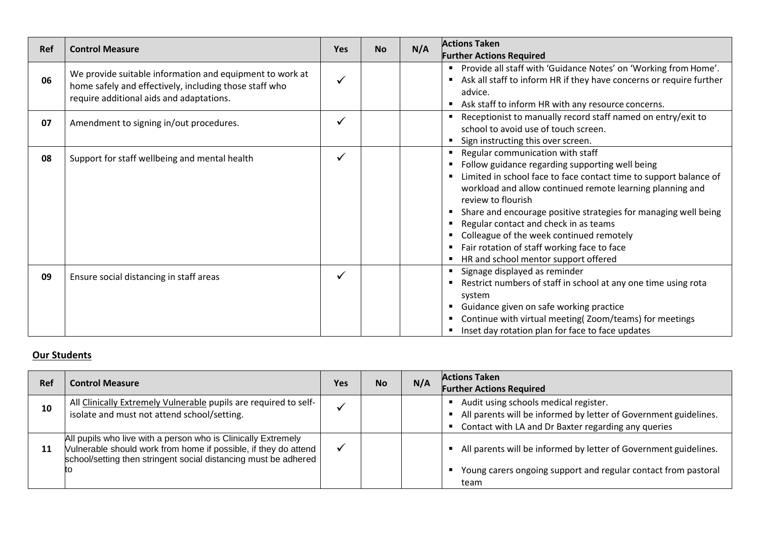| <b>Ref</b> | <b>Control Measure</b>                                                                                                                                         | <b>Yes</b> | <b>No</b> | <b>Actions Taken</b><br>N/A<br><b>Further Actions Required</b>                                                                                                                                                                                                                                                                                                                                                                                                                                                         |
|------------|----------------------------------------------------------------------------------------------------------------------------------------------------------------|------------|-----------|------------------------------------------------------------------------------------------------------------------------------------------------------------------------------------------------------------------------------------------------------------------------------------------------------------------------------------------------------------------------------------------------------------------------------------------------------------------------------------------------------------------------|
| 06         | We provide suitable information and equipment to work at<br>home safely and effectively, including those staff who<br>require additional aids and adaptations. |            |           | Provide all staff with 'Guidance Notes' on 'Working from Home'.<br>$\blacksquare$<br>Ask all staff to inform HR if they have concerns or require further<br>advice.<br>Ask staff to inform HR with any resource concerns.                                                                                                                                                                                                                                                                                              |
| 07         | Amendment to signing in/out procedures.                                                                                                                        |            |           | Receptionist to manually record staff named on entry/exit to<br>school to avoid use of touch screen.<br>Sign instructing this over screen.<br>٠                                                                                                                                                                                                                                                                                                                                                                        |
| 08         | Support for staff wellbeing and mental health                                                                                                                  | ✓          |           | Regular communication with staff<br>$\blacksquare$<br>Follow guidance regarding supporting well being<br>Limited in school face to face contact time to support balance of<br>workload and allow continued remote learning planning and<br>review to flourish<br>Share and encourage positive strategies for managing well being<br>Regular contact and check in as teams<br>Colleague of the week continued remotely<br>Fair rotation of staff working face to face<br>п<br>HR and school mentor support offered<br>п |
| 09         | Ensure social distancing in staff areas                                                                                                                        |            |           | Signage displayed as reminder<br>٠<br>Restrict numbers of staff in school at any one time using rota<br>system<br>Guidance given on safe working practice<br>٠<br>Continue with virtual meeting(Zoom/teams) for meetings<br>٠<br>Inset day rotation plan for face to face updates                                                                                                                                                                                                                                      |

# **Our Students**

| Ref | <b>Control Measure</b>                                                                                                                                                                                    | Yes | <b>No</b> | N/A | <b>Actions Taken</b><br><b>Further Actions Required</b>                                                                                                          |
|-----|-----------------------------------------------------------------------------------------------------------------------------------------------------------------------------------------------------------|-----|-----------|-----|------------------------------------------------------------------------------------------------------------------------------------------------------------------|
| 10  | All Clinically Extremely Vulnerable pupils are required to self-<br>isolate and must not attend school/setting.                                                                                           |     |           |     | Audit using schools medical register.<br>All parents will be informed by letter of Government guidelines.<br>Contact with LA and Dr Baxter regarding any queries |
| 11  | All pupils who live with a person who is Clinically Extremely<br>Vulnerable should work from home if possible, if they do attend<br>school/setting then stringent social distancing must be adhered<br>tο |     |           |     | All parents will be informed by letter of Government guidelines.<br>Young carers ongoing support and regular contact from pastoral<br>team                       |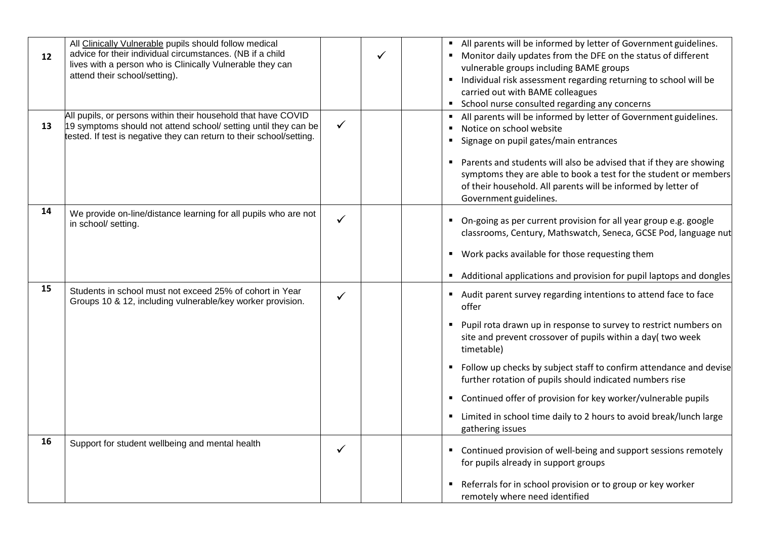| 12 | All Clinically Vulnerable pupils should follow medical<br>advice for their individual circumstances. (NB if a child<br>lives with a person who is Clinically Vulnerable they can<br>attend their school/setting). |              | ✓ | All parents will be informed by letter of Government guidelines.<br>" Monitor daily updates from the DFE on the status of different<br>vulnerable groups including BAME groups<br>Individual risk assessment regarding returning to school will be<br>carried out with BAME colleagues<br>School nurse consulted regarding any concerns                                                                                                                                                                                      |
|----|-------------------------------------------------------------------------------------------------------------------------------------------------------------------------------------------------------------------|--------------|---|------------------------------------------------------------------------------------------------------------------------------------------------------------------------------------------------------------------------------------------------------------------------------------------------------------------------------------------------------------------------------------------------------------------------------------------------------------------------------------------------------------------------------|
| 13 | All pupils, or persons within their household that have COVID<br>19 symptoms should not attend school/ setting until they can be<br>tested. If test is negative they can return to their school/setting.          | ✓            |   | All parents will be informed by letter of Government guidelines.<br>Notice on school website<br>Signage on pupil gates/main entrances<br>Parents and students will also be advised that if they are showing<br>symptoms they are able to book a test for the student or members<br>of their household. All parents will be informed by letter of<br>Government guidelines.                                                                                                                                                   |
| 14 | We provide on-line/distance learning for all pupils who are not<br>in school/ setting.                                                                                                                            | ✓            |   | On-going as per current provision for all year group e.g. google<br>classrooms, Century, Mathswatch, Seneca, GCSE Pod, language nut<br>Work packs available for those requesting them<br>Additional applications and provision for pupil laptops and dongles                                                                                                                                                                                                                                                                 |
| 15 | Students in school must not exceed 25% of cohort in Year<br>Groups 10 & 12, including vulnerable/key worker provision.                                                                                            | $\checkmark$ |   | Audit parent survey regarding intentions to attend face to face<br>offer<br>Pupil rota drawn up in response to survey to restrict numbers on<br>site and prevent crossover of pupils within a day( two week<br>timetable)<br>Follow up checks by subject staff to confirm attendance and devise<br>further rotation of pupils should indicated numbers rise<br>Continued offer of provision for key worker/vulnerable pupils<br>л.<br>Limited in school time daily to 2 hours to avoid break/lunch large<br>gathering issues |
| 16 | Support for student wellbeing and mental health                                                                                                                                                                   | ✓            |   | Continued provision of well-being and support sessions remotely<br>for pupils already in support groups<br>Referrals for in school provision or to group or key worker<br>remotely where need identified                                                                                                                                                                                                                                                                                                                     |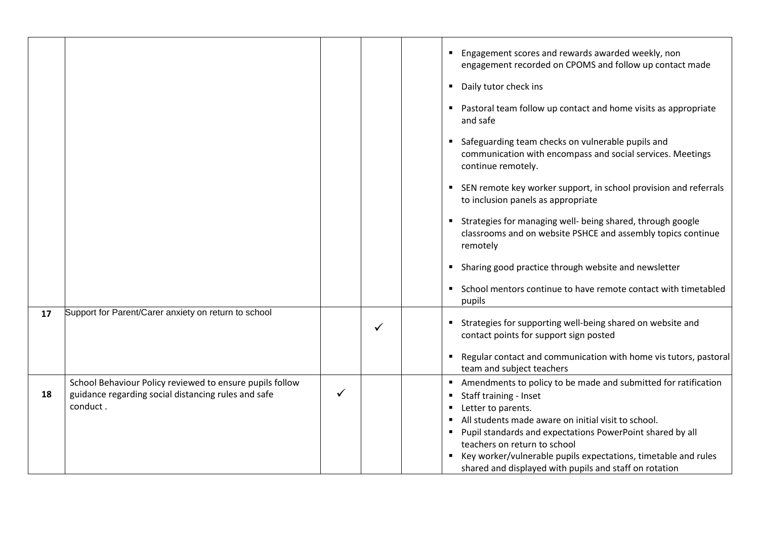|    |                                                                                                                             |              |   | Engagement scores and rewards awarded weekly, non<br>engagement recorded on CPOMS and follow up contact made<br>Daily tutor check ins<br>$\blacksquare$<br>• Pastoral team follow up contact and home visits as appropriate<br>and safe<br>Safeguarding team checks on vulnerable pupils and<br>communication with encompass and social services. Meetings<br>continue remotely.<br>SEN remote key worker support, in school provision and referrals<br>to inclusion panels as appropriate<br>Strategies for managing well- being shared, through google<br>classrooms and on website PSHCE and assembly topics continue<br>remotely |
|----|-----------------------------------------------------------------------------------------------------------------------------|--------------|---|--------------------------------------------------------------------------------------------------------------------------------------------------------------------------------------------------------------------------------------------------------------------------------------------------------------------------------------------------------------------------------------------------------------------------------------------------------------------------------------------------------------------------------------------------------------------------------------------------------------------------------------|
|    |                                                                                                                             |              |   | Sharing good practice through website and newsletter<br>School mentors continue to have remote contact with timetabled<br>pupils                                                                                                                                                                                                                                                                                                                                                                                                                                                                                                     |
| 17 | Support for Parent/Carer anxiety on return to school                                                                        |              | ✓ | Strategies for supporting well-being shared on website and<br>contact points for support sign posted<br>Regular contact and communication with home vis tutors, pastoral<br>team and subject teachers                                                                                                                                                                                                                                                                                                                                                                                                                                |
| 18 | School Behaviour Policy reviewed to ensure pupils follow<br>guidance regarding social distancing rules and safe<br>conduct. | $\checkmark$ |   | Amendments to policy to be made and submitted for ratification<br>Staff training - Inset<br>Letter to parents.<br>All students made aware on initial visit to school.<br>Pupil standards and expectations PowerPoint shared by all<br>teachers on return to school<br>Key worker/vulnerable pupils expectations, timetable and rules<br>٠<br>shared and displayed with pupils and staff on rotation                                                                                                                                                                                                                                  |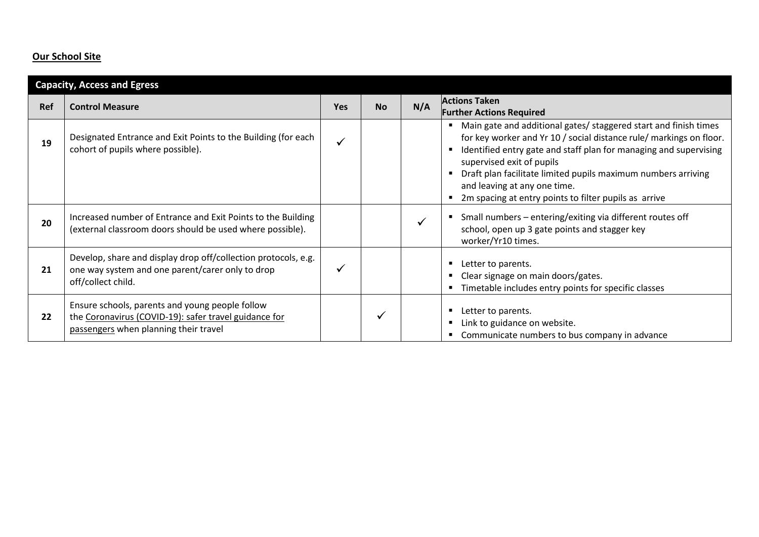# **Our School Site**

|     | <b>Capacity, Access and Egress</b>                                                                                                                |              |           |     |                                                                                                                                                                                                                                                                                                                                                                                                                                                                |  |
|-----|---------------------------------------------------------------------------------------------------------------------------------------------------|--------------|-----------|-----|----------------------------------------------------------------------------------------------------------------------------------------------------------------------------------------------------------------------------------------------------------------------------------------------------------------------------------------------------------------------------------------------------------------------------------------------------------------|--|
| Ref | <b>Control Measure</b>                                                                                                                            | <b>Yes</b>   | <b>No</b> | N/A | <b>Actions Taken</b><br><b>Further Actions Required</b>                                                                                                                                                                                                                                                                                                                                                                                                        |  |
| 19  | Designated Entrance and Exit Points to the Building (for each<br>cohort of pupils where possible).                                                | $\checkmark$ |           |     | Main gate and additional gates/ staggered start and finish times<br>$\blacksquare$<br>for key worker and Yr 10 / social distance rule/ markings on floor.<br>Identified entry gate and staff plan for managing and supervising<br>п<br>supervised exit of pupils<br>Draft plan facilitate limited pupils maximum numbers arriving<br>$\blacksquare$<br>and leaving at any one time.<br>2m spacing at entry points to filter pupils as arrive<br>$\blacksquare$ |  |
| 20  | Increased number of Entrance and Exit Points to the Building<br>(external classroom doors should be used where possible).                         |              |           |     | Small numbers - entering/exiting via different routes off<br>$\blacksquare$<br>school, open up 3 gate points and stagger key<br>worker/Yr10 times.                                                                                                                                                                                                                                                                                                             |  |
| 21  | Develop, share and display drop off/collection protocols, e.g.<br>one way system and one parent/carer only to drop<br>off/collect child.          |              |           |     | Letter to parents.<br>п<br>Clear signage on main doors/gates.<br>п<br>Timetable includes entry points for specific classes<br>п                                                                                                                                                                                                                                                                                                                                |  |
| 22  | Ensure schools, parents and young people follow<br>the Coronavirus (COVID-19): safer travel guidance for<br>passengers when planning their travel |              |           |     | Letter to parents.<br>п<br>Link to guidance on website.<br>п<br>Communicate numbers to bus company in advance<br>٠                                                                                                                                                                                                                                                                                                                                             |  |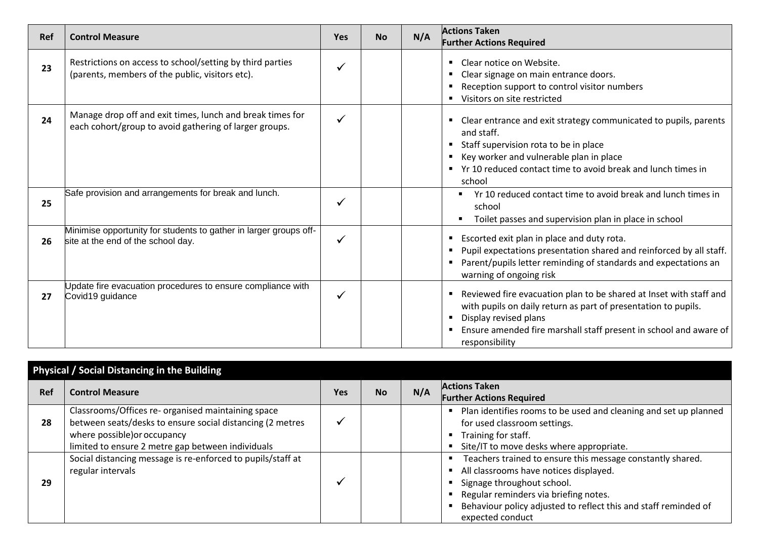| Ref | <b>Control Measure</b>                                                                                              | <b>Yes</b> | <b>No</b> | N/A | <b>Actions Taken</b><br><b>Further Actions Required</b>                                                                                                                                                                                                |
|-----|---------------------------------------------------------------------------------------------------------------------|------------|-----------|-----|--------------------------------------------------------------------------------------------------------------------------------------------------------------------------------------------------------------------------------------------------------|
| 23  | Restrictions on access to school/setting by third parties<br>(parents, members of the public, visitors etc).        |            |           |     | Clear notice on Website.<br>Clear signage on main entrance doors.<br>Reception support to control visitor numbers<br>Visitors on site restricted                                                                                                       |
| 24  | Manage drop off and exit times, lunch and break times for<br>each cohort/group to avoid gathering of larger groups. |            |           |     | Clear entrance and exit strategy communicated to pupils, parents<br>and staff.<br>Staff supervision rota to be in place<br>Key worker and vulnerable plan in place<br>■ Yr 10 reduced contact time to avoid break and lunch times in<br>school         |
| 25  | Safe provision and arrangements for break and lunch.                                                                | ✓          |           |     | Yr 10 reduced contact time to avoid break and lunch times in<br>school<br>Toilet passes and supervision plan in place in school                                                                                                                        |
| 26  | Minimise opportunity for students to gather in larger groups off-<br>site at the end of the school day.             | ✓          |           |     | " Escorted exit plan in place and duty rota.<br>Pupil expectations presentation shared and reinforced by all staff.<br>Parent/pupils letter reminding of standards and expectations an<br>warning of ongoing risk                                      |
| 27  | Update fire evacuation procedures to ensure compliance with<br>Covid19 guidance                                     | ✓          |           |     | " Reviewed fire evacuation plan to be shared at Inset with staff and<br>with pupils on daily return as part of presentation to pupils.<br>Display revised plans<br>Ensure amended fire marshall staff present in school and aware of<br>responsibility |

|     | Physical / Social Distancing in the Building                                                                                                                                                         |     |           |     |                                                                                                                                                                                                                                                                    |  |
|-----|------------------------------------------------------------------------------------------------------------------------------------------------------------------------------------------------------|-----|-----------|-----|--------------------------------------------------------------------------------------------------------------------------------------------------------------------------------------------------------------------------------------------------------------------|--|
| Ref | <b>Control Measure</b>                                                                                                                                                                               | Yes | <b>No</b> | N/A | <b>Actions Taken</b><br><b>Further Actions Required</b>                                                                                                                                                                                                            |  |
| 28  | Classrooms/Offices re- organised maintaining space<br>between seats/desks to ensure social distancing (2 metres<br>where possible) or occupancy<br>limited to ensure 2 metre gap between individuals |     |           |     | Plan identifies rooms to be used and cleaning and set up planned<br>for used classroom settings.<br>Training for staff.<br>Site/IT to move desks where appropriate.                                                                                                |  |
| 29  | Social distancing message is re-enforced to pupils/staff at<br>regular intervals                                                                                                                     |     |           |     | Teachers trained to ensure this message constantly shared.<br>All classrooms have notices displayed.<br>Signage throughout school.<br>Regular reminders via briefing notes.<br>Behaviour policy adjusted to reflect this and staff reminded of<br>expected conduct |  |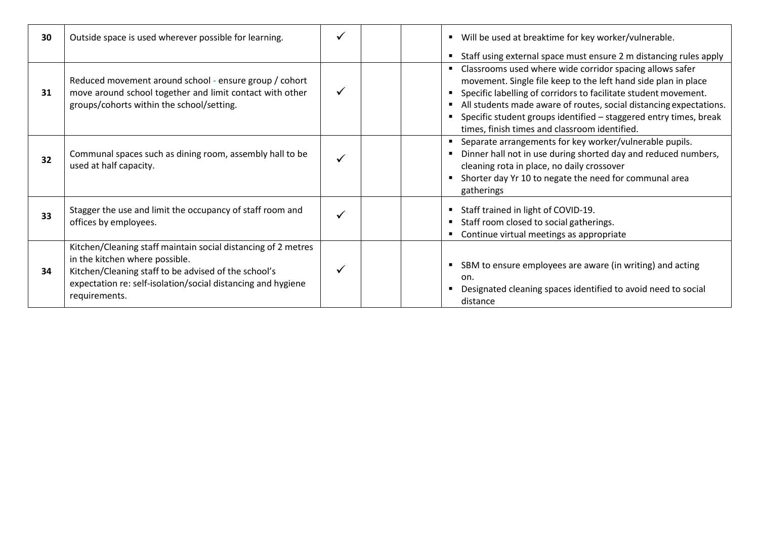| 30 | Outside space is used wherever possible for learning.                                                                                                                                                                                    | Will be used at breaktime for key worker/vulnerable.<br>Staff using external space must ensure 2 m distancing rules apply                                                                                                                                                                                                                                                                 |
|----|------------------------------------------------------------------------------------------------------------------------------------------------------------------------------------------------------------------------------------------|-------------------------------------------------------------------------------------------------------------------------------------------------------------------------------------------------------------------------------------------------------------------------------------------------------------------------------------------------------------------------------------------|
| 31 | Reduced movement around school - ensure group / cohort<br>move around school together and limit contact with other<br>groups/cohorts within the school/setting.                                                                          | Classrooms used where wide corridor spacing allows safer<br>movement. Single file keep to the left hand side plan in place<br>Specific labelling of corridors to facilitate student movement.<br>All students made aware of routes, social distancing expectations.<br>Specific student groups identified - staggered entry times, break<br>times, finish times and classroom identified. |
| 32 | Communal spaces such as dining room, assembly hall to be<br>used at half capacity.                                                                                                                                                       | Separate arrangements for key worker/vulnerable pupils.<br>Dinner hall not in use during shorted day and reduced numbers,<br>cleaning rota in place, no daily crossover<br>Shorter day Yr 10 to negate the need for communal area<br>gatherings                                                                                                                                           |
| 33 | Stagger the use and limit the occupancy of staff room and<br>offices by employees.                                                                                                                                                       | Staff trained in light of COVID-19.<br>Staff room closed to social gatherings.<br>Continue virtual meetings as appropriate                                                                                                                                                                                                                                                                |
| 34 | Kitchen/Cleaning staff maintain social distancing of 2 metres<br>in the kitchen where possible.<br>Kitchen/Cleaning staff to be advised of the school's<br>expectation re: self-isolation/social distancing and hygiene<br>requirements. | SBM to ensure employees are aware (in writing) and acting<br>on.<br>Designated cleaning spaces identified to avoid need to social<br>distance                                                                                                                                                                                                                                             |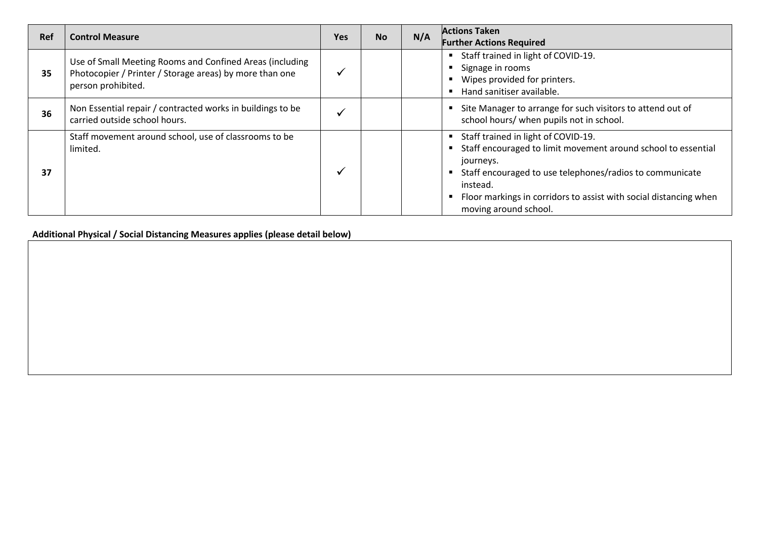| Ref | <b>Control Measure</b>                                                                                                                    | <b>Yes</b> | <b>No</b> | N/A | <b>Actions Taken</b><br><b>Further Actions Required</b>                                                                                                                                                                                                                                 |
|-----|-------------------------------------------------------------------------------------------------------------------------------------------|------------|-----------|-----|-----------------------------------------------------------------------------------------------------------------------------------------------------------------------------------------------------------------------------------------------------------------------------------------|
| 35  | Use of Small Meeting Rooms and Confined Areas (including<br>Photocopier / Printer / Storage areas) by more than one<br>person prohibited. |            |           |     | " Staff trained in light of COVID-19.<br>Signage in rooms<br>Wipes provided for printers.<br>Hand sanitiser available.                                                                                                                                                                  |
| 36  | Non Essential repair / contracted works in buildings to be<br>carried outside school hours.                                               |            |           |     | Site Manager to arrange for such visitors to attend out of<br>school hours/ when pupils not in school.                                                                                                                                                                                  |
| 37  | Staff movement around school, use of classrooms to be<br>limited.                                                                         |            |           |     | Staff trained in light of COVID-19.<br>Staff encouraged to limit movement around school to essential<br>journeys.<br>Staff encouraged to use telephones/radios to communicate<br>instead.<br>Floor markings in corridors to assist with social distancing when<br>moving around school. |

**Additional Physical / Social Distancing Measures applies (please detail below)**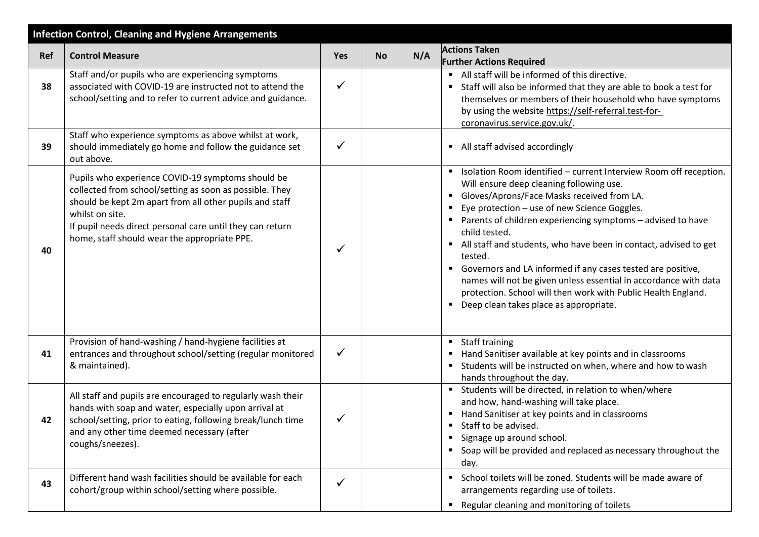| <b>Infection Control, Cleaning and Hygiene Arrangements</b> |                                                                                                                                                                                                                                                                                                         |              |           |     |                                                                                                                                                                                                                                                                                                                                                                                                                                                                                                                                                                                                                                                      |  |  |  |
|-------------------------------------------------------------|---------------------------------------------------------------------------------------------------------------------------------------------------------------------------------------------------------------------------------------------------------------------------------------------------------|--------------|-----------|-----|------------------------------------------------------------------------------------------------------------------------------------------------------------------------------------------------------------------------------------------------------------------------------------------------------------------------------------------------------------------------------------------------------------------------------------------------------------------------------------------------------------------------------------------------------------------------------------------------------------------------------------------------------|--|--|--|
| Ref                                                         | <b>Control Measure</b>                                                                                                                                                                                                                                                                                  | <b>Yes</b>   | <b>No</b> | N/A | <b>Actions Taken</b><br><b>Further Actions Required</b>                                                                                                                                                                                                                                                                                                                                                                                                                                                                                                                                                                                              |  |  |  |
| 38                                                          | Staff and/or pupils who are experiencing symptoms<br>associated with COVID-19 are instructed not to attend the<br>school/setting and to refer to current advice and guidance.                                                                                                                           |              |           |     | All staff will be informed of this directive.<br>Staff will also be informed that they are able to book a test for<br>themselves or members of their household who have symptoms<br>by using the website https://self-referral.test-for-<br>coronavirus.service.gov.uk/.                                                                                                                                                                                                                                                                                                                                                                             |  |  |  |
| 39                                                          | Staff who experience symptoms as above whilst at work,<br>should immediately go home and follow the guidance set<br>out above.                                                                                                                                                                          |              |           |     | All staff advised accordingly                                                                                                                                                                                                                                                                                                                                                                                                                                                                                                                                                                                                                        |  |  |  |
| 40                                                          | Pupils who experience COVID-19 symptoms should be<br>collected from school/setting as soon as possible. They<br>should be kept 2m apart from all other pupils and staff<br>whilst on site.<br>If pupil needs direct personal care until they can return<br>home, staff should wear the appropriate PPE. |              |           |     | Isolation Room identified - current Interview Room off reception.<br>Will ensure deep cleaning following use.<br>Gloves/Aprons/Face Masks received from LA.<br>п<br>Eye protection - use of new Science Goggles.<br>Parents of children experiencing symptoms - advised to have<br>٠<br>child tested.<br>All staff and students, who have been in contact, advised to get<br>tested.<br>Governors and LA informed if any cases tested are positive,<br>names will not be given unless essential in accordance with data<br>protection. School will then work with Public Health England.<br>Deep clean takes place as appropriate.<br>$\blacksquare$ |  |  |  |
| 41                                                          | Provision of hand-washing / hand-hygiene facilities at<br>entrances and throughout school/setting (regular monitored<br>& maintained).                                                                                                                                                                  | ✓            |           |     | Staff training<br>$\blacksquare$<br>Hand Sanitiser available at key points and in classrooms<br>Students will be instructed on when, where and how to wash<br>hands throughout the day.                                                                                                                                                                                                                                                                                                                                                                                                                                                              |  |  |  |
| 42                                                          | All staff and pupils are encouraged to regularly wash their<br>hands with soap and water, especially upon arrival at<br>school/setting, prior to eating, following break/lunch time<br>and any other time deemed necessary (after<br>coughs/sneezes).                                                   | ✓            |           |     | Students will be directed, in relation to when/where<br>$\blacksquare$<br>and how, hand-washing will take place.<br>Hand Sanitiser at key points and in classrooms<br>Staff to be advised.<br>п<br>Signage up around school.<br>$\blacksquare$<br>Soap will be provided and replaced as necessary throughout the<br>day.                                                                                                                                                                                                                                                                                                                             |  |  |  |
| 43                                                          | Different hand wash facilities should be available for each<br>cohort/group within school/setting where possible.                                                                                                                                                                                       | $\checkmark$ |           |     | School toilets will be zoned. Students will be made aware of<br>arrangements regarding use of toilets.<br>Regular cleaning and monitoring of toilets                                                                                                                                                                                                                                                                                                                                                                                                                                                                                                 |  |  |  |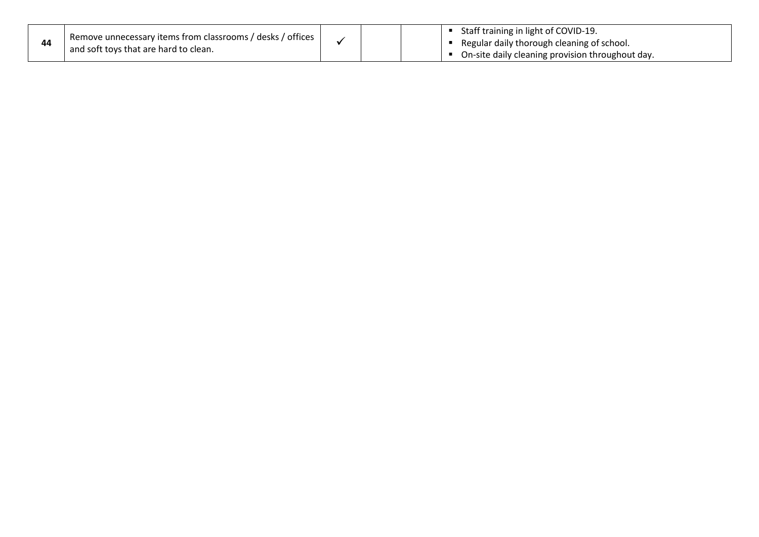| 44 | <sup>1</sup> Remove unnecessary items from classrooms / desks / offices 1<br>and soft toys that are hard to clean. |  |  | Staff training in light of COVID-19.<br>Regular daily thorough cleaning of school.<br>On-site daily cleaning provision throughout day. |  |
|----|--------------------------------------------------------------------------------------------------------------------|--|--|----------------------------------------------------------------------------------------------------------------------------------------|--|
|----|--------------------------------------------------------------------------------------------------------------------|--|--|----------------------------------------------------------------------------------------------------------------------------------------|--|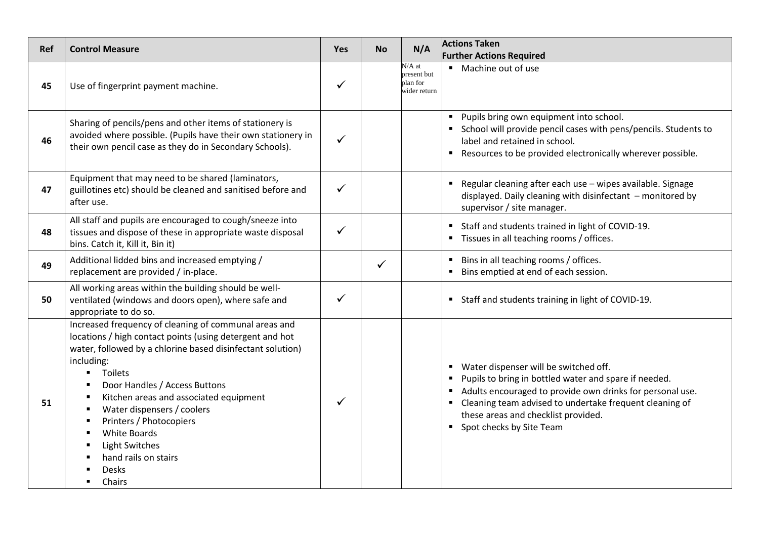| <b>Ref</b> | <b>Control Measure</b>                                                                                                                                                                                                                                                                                                                                                                                                                           | Yes          | <b>No</b> | N/A                                                 | <b>Actions Taken</b>                                                                                                                                                                                                                                                                                                                                   |  |
|------------|--------------------------------------------------------------------------------------------------------------------------------------------------------------------------------------------------------------------------------------------------------------------------------------------------------------------------------------------------------------------------------------------------------------------------------------------------|--------------|-----------|-----------------------------------------------------|--------------------------------------------------------------------------------------------------------------------------------------------------------------------------------------------------------------------------------------------------------------------------------------------------------------------------------------------------------|--|
|            |                                                                                                                                                                                                                                                                                                                                                                                                                                                  |              |           |                                                     | <b>Further Actions Required</b>                                                                                                                                                                                                                                                                                                                        |  |
| 45         | Use of fingerprint payment machine.                                                                                                                                                                                                                                                                                                                                                                                                              | $\checkmark$ |           | $N/A$ at<br>present but<br>plan for<br>wider return | • Machine out of use                                                                                                                                                                                                                                                                                                                                   |  |
| 46         | Sharing of pencils/pens and other items of stationery is<br>avoided where possible. (Pupils have their own stationery in<br>their own pencil case as they do in Secondary Schools).                                                                                                                                                                                                                                                              | $\checkmark$ |           |                                                     | " Pupils bring own equipment into school.<br>• School will provide pencil cases with pens/pencils. Students to<br>label and retained in school.<br>Resources to be provided electronically wherever possible.<br>$\blacksquare$                                                                                                                        |  |
| 47         | Equipment that may need to be shared (laminators,<br>guillotines etc) should be cleaned and sanitised before and<br>after use.                                                                                                                                                                                                                                                                                                                   | $\checkmark$ |           |                                                     | Regular cleaning after each use - wipes available. Signage<br>$\blacksquare$<br>displayed. Daily cleaning with disinfectant - monitored by<br>supervisor / site manager.                                                                                                                                                                               |  |
| 48         | All staff and pupils are encouraged to cough/sneeze into<br>tissues and dispose of these in appropriate waste disposal<br>bins. Catch it, Kill it, Bin it)                                                                                                                                                                                                                                                                                       | $\checkmark$ |           |                                                     | Staff and students trained in light of COVID-19.<br>$\blacksquare$<br>" Tissues in all teaching rooms / offices.                                                                                                                                                                                                                                       |  |
| 49         | Additional lidded bins and increased emptying /<br>replacement are provided / in-place.                                                                                                                                                                                                                                                                                                                                                          |              | ✓         |                                                     | Bins in all teaching rooms / offices.<br>$\blacksquare$<br>Bins emptied at end of each session.                                                                                                                                                                                                                                                        |  |
| 50         | All working areas within the building should be well-<br>ventilated (windows and doors open), where safe and<br>appropriate to do so.                                                                                                                                                                                                                                                                                                            | $\checkmark$ |           |                                                     | " Staff and students training in light of COVID-19.                                                                                                                                                                                                                                                                                                    |  |
| 51         | Increased frequency of cleaning of communal areas and<br>locations / high contact points (using detergent and hot<br>water, followed by a chlorine based disinfectant solution)<br>including:<br>Toilets<br>$\blacksquare$<br>Door Handles / Access Buttons<br>Kitchen areas and associated equipment<br>Water dispensers / coolers<br>п<br>Printers / Photocopiers<br>White Boards<br>Light Switches<br>hand rails on stairs<br>Desks<br>Chairs |              |           |                                                     | Water dispenser will be switched off.<br>$\blacksquare$<br>Pupils to bring in bottled water and spare if needed.<br>٠<br>Adults encouraged to provide own drinks for personal use.<br>$\blacksquare$<br>Cleaning team advised to undertake frequent cleaning of<br>$\blacksquare$<br>these areas and checklist provided.<br>• Spot checks by Site Team |  |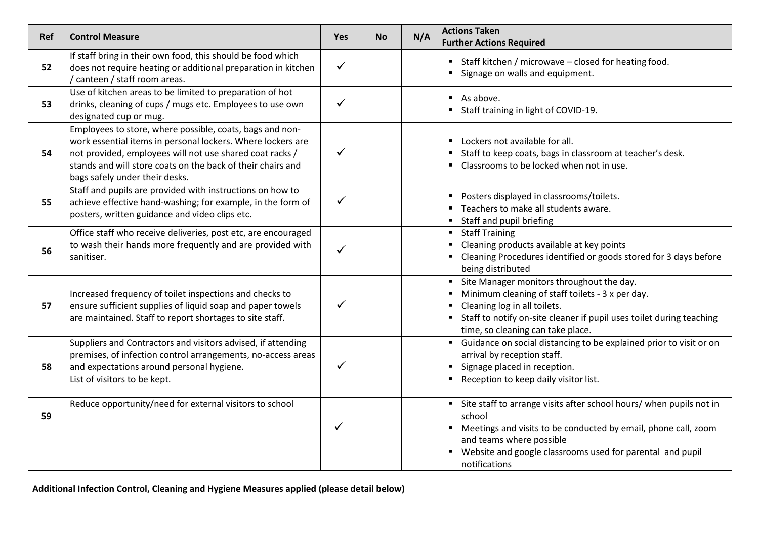| <b>Ref</b> | <b>Control Measure</b>                                                                                                                                                                                                                                                               | <b>Yes</b>   | <b>No</b> | N/A | <b>Actions Taken</b><br><b>Further Actions Required</b>                                                                                                                                                                                                         |
|------------|--------------------------------------------------------------------------------------------------------------------------------------------------------------------------------------------------------------------------------------------------------------------------------------|--------------|-----------|-----|-----------------------------------------------------------------------------------------------------------------------------------------------------------------------------------------------------------------------------------------------------------------|
| 52         | If staff bring in their own food, this should be food which<br>does not require heating or additional preparation in kitchen<br>/ canteen / staff room areas.                                                                                                                        | $\checkmark$ |           |     | " Staff kitchen / microwave - closed for heating food.<br>Signage on walls and equipment.                                                                                                                                                                       |
| 53         | Use of kitchen areas to be limited to preparation of hot<br>drinks, cleaning of cups / mugs etc. Employees to use own<br>designated cup or mug.                                                                                                                                      | ✓            |           |     | $\blacksquare$ As above.<br>■ Staff training in light of COVID-19.                                                                                                                                                                                              |
| 54         | Employees to store, where possible, coats, bags and non-<br>work essential items in personal lockers. Where lockers are<br>not provided, employees will not use shared coat racks /<br>stands and will store coats on the back of their chairs and<br>bags safely under their desks. | ✓            |           |     | Lockers not available for all.<br>Staff to keep coats, bags in classroom at teacher's desk.<br>• Classrooms to be locked when not in use.                                                                                                                       |
| 55         | Staff and pupils are provided with instructions on how to<br>achieve effective hand-washing; for example, in the form of<br>posters, written guidance and video clips etc.                                                                                                           | ✓            |           |     | • Posters displayed in classrooms/toilets.<br>■ Teachers to make all students aware.<br>Staff and pupil briefing                                                                                                                                                |
| 56         | Office staff who receive deliveries, post etc, are encouraged<br>to wash their hands more frequently and are provided with<br>sanitiser.                                                                                                                                             | $\checkmark$ |           |     | • Staff Training<br>Cleaning products available at key points<br>" Cleaning Procedures identified or goods stored for 3 days before<br>being distributed                                                                                                        |
| 57         | Increased frequency of toilet inspections and checks to<br>ensure sufficient supplies of liquid soap and paper towels<br>are maintained. Staff to report shortages to site staff.                                                                                                    | ✓            |           |     | Site Manager monitors throughout the day.<br>Minimum cleaning of staff toilets - 3 x per day.<br>Cleaning log in all toilets.<br>Staff to notify on-site cleaner if pupil uses toilet during teaching<br>time, so cleaning can take place.                      |
| 58         | Suppliers and Contractors and visitors advised, if attending<br>premises, of infection control arrangements, no-access areas<br>and expectations around personal hygiene.<br>List of visitors to be kept.                                                                            | ✓            |           |     | • Guidance on social distancing to be explained prior to visit or on<br>arrival by reception staff.<br>Signage placed in reception.<br>Reception to keep daily visitor list.                                                                                    |
| 59         | Reduce opportunity/need for external visitors to school                                                                                                                                                                                                                              | ✓            |           |     | " Site staff to arrange visits after school hours/ when pupils not in<br>school<br>" Meetings and visits to be conducted by email, phone call, zoom<br>and teams where possible<br>• Website and google classrooms used for parental and pupil<br>notifications |

**Additional Infection Control, Cleaning and Hygiene Measures applied (please detail below)**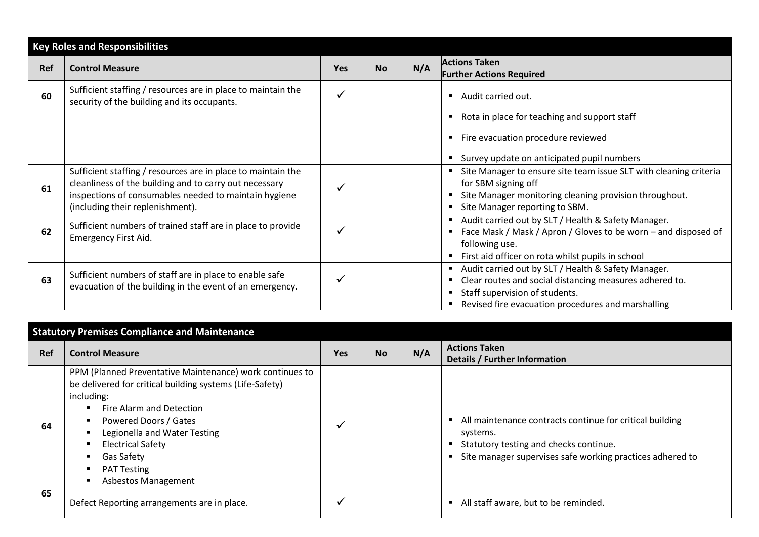|     | <b>Key Roles and Responsibilities</b>                                                                                                                                                                               |            |           |     |                                                                                                                                                                                                        |  |
|-----|---------------------------------------------------------------------------------------------------------------------------------------------------------------------------------------------------------------------|------------|-----------|-----|--------------------------------------------------------------------------------------------------------------------------------------------------------------------------------------------------------|--|
| Ref | <b>Control Measure</b>                                                                                                                                                                                              | <b>Yes</b> | <b>No</b> | N/A | <b>Actions Taken</b><br><b>Further Actions Required</b>                                                                                                                                                |  |
| 60  | Sufficient staffing / resources are in place to maintain the<br>security of the building and its occupants.                                                                                                         |            |           |     | Audit carried out.<br>Rota in place for teaching and support staff<br>Fire evacuation procedure reviewed<br>Survey update on anticipated pupil numbers                                                 |  |
| 61  | Sufficient staffing / resources are in place to maintain the<br>cleanliness of the building and to carry out necessary<br>inspections of consumables needed to maintain hygiene<br>(including their replenishment). |            |           |     | Site Manager to ensure site team issue SLT with cleaning criteria<br>for SBM signing off<br>Site Manager monitoring cleaning provision throughout.<br>Site Manager reporting to SBM.                   |  |
| 62  | Sufficient numbers of trained staff are in place to provide<br>Emergency First Aid.                                                                                                                                 |            |           |     | Audit carried out by SLT / Health & Safety Manager.<br>Face Mask / Mask / Apron / Gloves to be worn - and disposed of<br>following use.<br>First aid officer on rota whilst pupils in school           |  |
| 63  | Sufficient numbers of staff are in place to enable safe<br>evacuation of the building in the event of an emergency.                                                                                                 |            |           |     | Audit carried out by SLT / Health & Safety Manager.<br>Clear routes and social distancing measures adhered to.<br>Staff supervision of students.<br>Revised fire evacuation procedures and marshalling |  |

|     | <b>Statutory Premises Compliance and Maintenance</b>                                                                                                                                                                                                                                                           |            |           |     |                                                                                                                                                                               |  |  |  |
|-----|----------------------------------------------------------------------------------------------------------------------------------------------------------------------------------------------------------------------------------------------------------------------------------------------------------------|------------|-----------|-----|-------------------------------------------------------------------------------------------------------------------------------------------------------------------------------|--|--|--|
| Ref | <b>Control Measure</b>                                                                                                                                                                                                                                                                                         | <b>Yes</b> | <b>No</b> | N/A | <b>Actions Taken</b><br>Details / Further Information                                                                                                                         |  |  |  |
| 64  | PPM (Planned Preventative Maintenance) work continues to<br>be delivered for critical building systems (Life-Safety)<br>including:<br>Fire Alarm and Detection<br>Powered Doors / Gates<br>Legionella and Water Testing<br><b>Electrical Safety</b><br>Gas Safety<br><b>PAT Testing</b><br>Asbestos Management |            |           |     | • All maintenance contracts continue for critical building<br>systems.<br>Statutory testing and checks continue.<br>Site manager supervises safe working practices adhered to |  |  |  |
| 65  | Defect Reporting arrangements are in place.                                                                                                                                                                                                                                                                    |            |           |     | • All staff aware, but to be reminded.                                                                                                                                        |  |  |  |